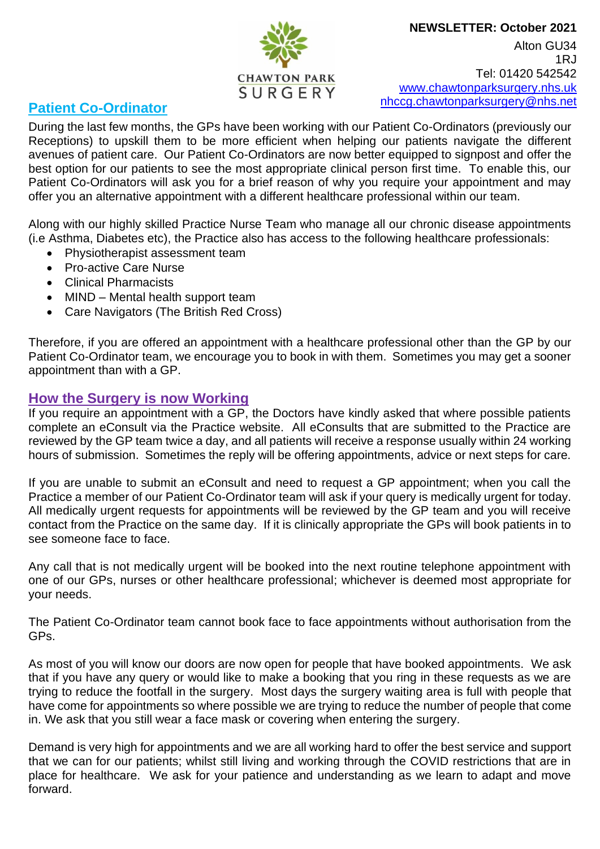#### **NEWSLETTER: October 2021**



Alton GU34 1RJ Tel: 01420 542542 www.chawtonparksurgery.nhs.uk nhccg.chawtonparksurgery@nhs.net

## **Patient Co-Ordinator**

During the last few months, the GPs have been working with our Patient Co-Ordinators (previously our Receptions) to upskill them to be more efficient when helping our patients navigate the different avenues of patient care. Our Patient Co-Ordinators are now better equipped to signpost and offer the best option for our patients to see the most appropriate clinical person first time. To enable this, our Patient Co-Ordinators will ask you for a brief reason of why you require your appointment and may offer you an alternative appointment with a different healthcare professional within our team.

Along with our highly skilled Practice Nurse Team who manage all our chronic disease appointments (i.e Asthma, Diabetes etc), the Practice also has access to the following healthcare professionals:

- Physiotherapist assessment team
- Pro-active Care Nurse
- Clinical Pharmacists
- MIND Mental health support team
- Care Navigators (The British Red Cross)

Therefore, if you are offered an appointment with a healthcare professional other than the GP by our Patient Co-Ordinator team, we encourage you to book in with them. Sometimes you may get a sooner appointment than with a GP.

### **How the Surgery is now Working**

If you require an appointment with a GP, the Doctors have kindly asked that where possible patients complete an eConsult via the Practice website. All eConsults that are submitted to the Practice are reviewed by the GP team twice a day, and all patients will receive a response usually within 24 working hours of submission. Sometimes the reply will be offering appointments, advice or next steps for care.

If you are unable to submit an eConsult and need to request a GP appointment; when you call the Practice a member of our Patient Co-Ordinator team will ask if your query is medically urgent for today. All medically urgent requests for appointments will be reviewed by the GP team and you will receive contact from the Practice on the same day. If it is clinically appropriate the GPs will book patients in to see someone face to face.

Any call that is not medically urgent will be booked into the next routine telephone appointment with one of our GPs, nurses or other healthcare professional; whichever is deemed most appropriate for your needs.

The Patient Co-Ordinator team cannot book face to face appointments without authorisation from the GPs.

As most of you will know our doors are now open for people that have booked appointments. We ask that if you have any query or would like to make a booking that you ring in these requests as we are trying to reduce the footfall in the surgery. Most days the surgery waiting area is full with people that have come for appointments so where possible we are trying to reduce the number of people that come in. We ask that you still wear a face mask or covering when entering the surgery.

Demand is very high for appointments and we are all working hard to offer the best service and support that we can for our patients; whilst still living and working through the COVID restrictions that are in place for healthcare. We ask for your patience and understanding as we learn to adapt and move forward.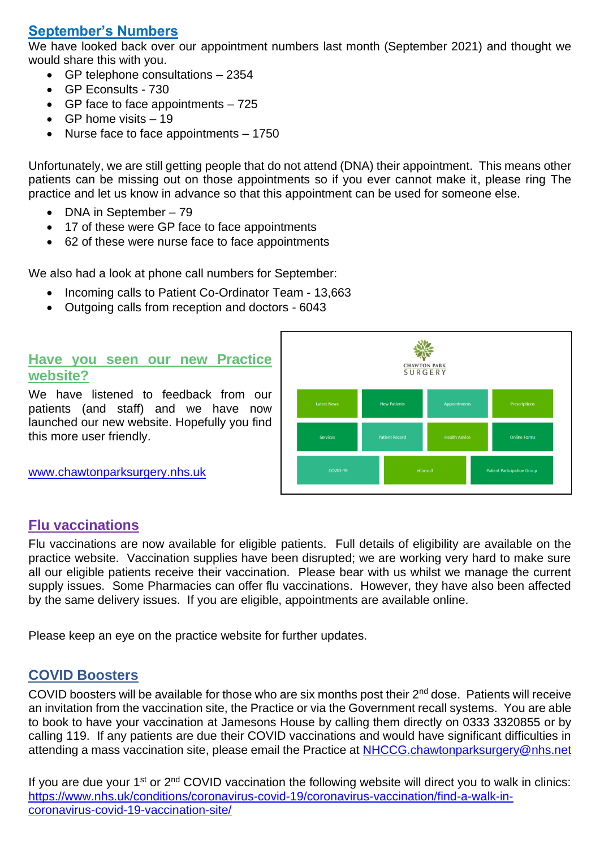# **September's Numbers**

We have looked back over our appointment numbers last month (September 2021) and thought we would share this with you.

- GP telephone consultations 2354
- GP Econsults 730
- GP face to face appointments 725
- GP home visits  $-19$
- Nurse face to face appointments 1750

Unfortunately, we are still getting people that do not attend (DNA) their appointment. This means other patients can be missing out on those appointments so if you ever cannot make it, please ring The practice and let us know in advance so that this appointment can be used for someone else.

- DNA in September 79
- 17 of these were GP face to face appointments
- 62 of these were nurse face to face appointments

We also had a look at phone call numbers for September:

- Incoming calls to Patient Co-Ordinator Team 13,663
- Outgoing calls from reception and doctors 6043

### **Have you seen our new Practice website?**

We have listened to feedback from our patients (and staff) and we have now launched our new website. Hopefully you find this more user friendly.

[www.chawtonparksurgery.nhs.uk](http://www.chawtonparksurgery.nhs.uk/)



## **Flu vaccinations**

Flu vaccinations are now available for eligible patients. Full details of eligibility are available on the practice website. Vaccination supplies have been disrupted; we are working very hard to make sure all our eligible patients receive their vaccination. Please bear with us whilst we manage the current supply issues. Some Pharmacies can offer flu vaccinations. However, they have also been affected by the same delivery issues. If you are eligible, appointments are available online.

Please keep an eye on the practice website for further updates.

## **COVID Boosters**

COVID boosters will be available for those who are six months post their 2<sup>nd</sup> dose. Patients will receive an invitation from the vaccination site, the Practice or via the Government recall systems. You are able to book to have your vaccination at Jamesons House by calling them directly on 0333 3320855 or by calling 119. If any patients are due their COVID vaccinations and would have significant difficulties in attending a mass vaccination site, please email the Practice at [NHCCG.chawtonparksurgery@nhs.net](mailto:NHCCG.chawtonparksurgery@nhs.net)

If you are due your  $1^{st}$  or  $2^{nd}$  COVID vaccination the following website will direct you to walk in clinics: [https://www.nhs.uk/conditions/coronavirus-covid-19/coronavirus-vaccination/find-a-walk-in](https://www.nhs.uk/conditions/coronavirus-covid-19/coronavirus-vaccination/find-a-walk-in-coronavirus-covid-19-vaccination-site/)[coronavirus-covid-19-vaccination-site/](https://www.nhs.uk/conditions/coronavirus-covid-19/coronavirus-vaccination/find-a-walk-in-coronavirus-covid-19-vaccination-site/)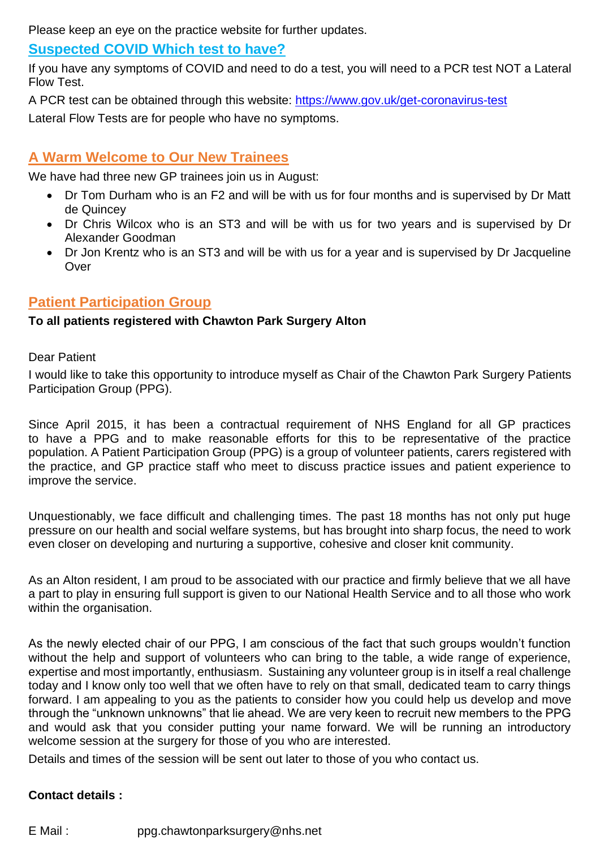Please keep an eye on the practice website for further updates.

### **Suspected COVID Which test to have?**

If you have any symptoms of COVID and need to do a test, you will need to a PCR test NOT a Lateral Flow Test.

A PCR test can be obtained through this website:<https://www.gov.uk/get-coronavirus-test> Lateral Flow Tests are for people who have no symptoms.

## **A Warm Welcome to Our New Trainees**

We have had three new GP trainees join us in August:

- Dr Tom Durham who is an F2 and will be with us for four months and is supervised by Dr Matt de Quincey
- Dr Chris Wilcox who is an ST3 and will be with us for two years and is supervised by Dr Alexander Goodman
- Dr Jon Krentz who is an ST3 and will be with us for a year and is supervised by Dr Jacqueline **Over**

### **Patient Participation Group**

#### **To all patients registered with Chawton Park Surgery Alton**

#### Dear Patient

I would like to take this opportunity to introduce myself as Chair of the Chawton Park Surgery Patients Participation Group (PPG).

Since April 2015, it has been a contractual requirement of NHS England for all GP practices to have a PPG and to make reasonable efforts for this to be representative of the practice population. A Patient Participation Group (PPG) is a group of volunteer patients, carers registered with the practice, and GP practice staff who meet to discuss practice issues and patient experience to improve the service.

Unquestionably, we face difficult and challenging times. The past 18 months has not only put huge pressure on our health and social welfare systems, but has brought into sharp focus, the need to work even closer on developing and nurturing a supportive, cohesive and closer knit community.

As an Alton resident, I am proud to be associated with our practice and firmly believe that we all have a part to play in ensuring full support is given to our National Health Service and to all those who work within the organisation.

As the newly elected chair of our PPG, I am conscious of the fact that such groups wouldn't function without the help and support of volunteers who can bring to the table, a wide range of experience, expertise and most importantly, enthusiasm. Sustaining any volunteer group is in itself a real challenge today and I know only too well that we often have to rely on that small, dedicated team to carry things forward. I am appealing to you as the patients to consider how you could help us develop and move through the "unknown unknowns" that lie ahead. We are very keen to recruit new members to the PPG and would ask that you consider putting your name forward. We will be running an introductory welcome session at the surgery for those of you who are interested.

Details and times of the session will be sent out later to those of you who contact us.

#### **Contact details :**